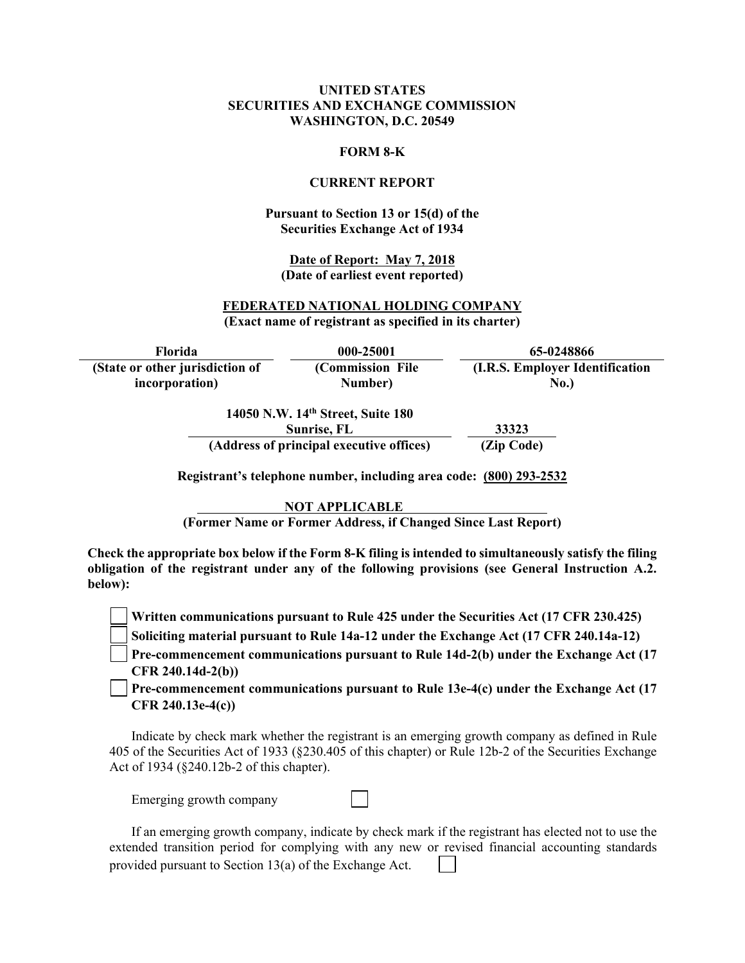### **UNITED STATES SECURITIES AND EXCHANGE COMMISSION WASHINGTON, D.C. 20549**

#### **FORM 8-K**

#### **CURRENT REPORT**

### **Pursuant to Section 13 or 15(d) of the Securities Exchange Act of 1934**

**Date of Report: May 7, 2018 (Date of earliest event reported)**

### **FEDERATED NATIONAL HOLDING COMPANY (Exact name of registrant as specified in its charter)**

**Florida 000-25001 65-0248866 (State or other jurisdiction of incorporation) (Commission File Number) (I.R.S. Employer Identification No.)** 

> **14050 N.W. 14th Street, Suite 180 Sunrise, FL 33323 (Address of principal executive offices) (Zip Code)**

**Registrant's telephone number, including area code: (800) 293-2532** 

**NOT APPLICABLE** 

**(Former Name or Former Address, if Changed Since Last Report)** 

**Check the appropriate box below if the Form 8-K filing is intended to simultaneously satisfy the filing obligation of the registrant under any of the following provisions (see General Instruction A.2. below):** 

**Written communications pursuant to Rule 425 under the Securities Act (17 CFR 230.425)** 

**Soliciting material pursuant to Rule 14a-12 under the Exchange Act (17 CFR 240.14a-12)**

**Pre-commencement communications pursuant to Rule 14d-2(b) under the Exchange Act (17 CFR 240.14d-2(b))**

**Pre-commencement communications pursuant to Rule 13e-4(c) under the Exchange Act (17 CFR 240.13e-4(c))** 

Indicate by check mark whether the registrant is an emerging growth company as defined in Rule 405 of the Securities Act of 1933 (§230.405 of this chapter) or Rule 12b-2 of the Securities Exchange Act of 1934 (§240.12b-2 of this chapter).

Emerging growth company

If an emerging growth company, indicate by check mark if the registrant has elected not to use the extended transition period for complying with any new or revised financial accounting standards provided pursuant to Section 13(a) of the Exchange Act.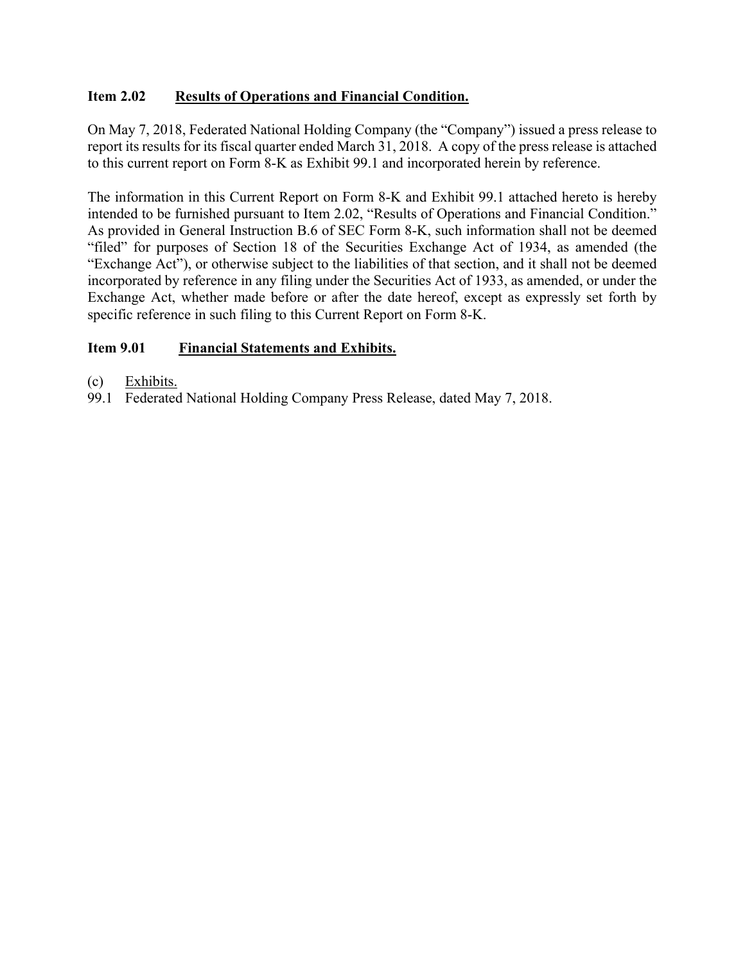# **Item 2.02 Results of Operations and Financial Condition.**

On May 7, 2018, Federated National Holding Company (the "Company") issued a press release to report its results for its fiscal quarter ended March 31, 2018. A copy of the press release is attached to this current report on Form 8-K as Exhibit 99.1 and incorporated herein by reference.

The information in this Current Report on Form 8-K and Exhibit 99.1 attached hereto is hereby intended to be furnished pursuant to Item 2.02, "Results of Operations and Financial Condition." As provided in General Instruction B.6 of SEC Form 8-K, such information shall not be deemed "filed" for purposes of Section 18 of the Securities Exchange Act of 1934, as amended (the "Exchange Act"), or otherwise subject to the liabilities of that section, and it shall not be deemed incorporated by reference in any filing under the Securities Act of 1933, as amended, or under the Exchange Act, whether made before or after the date hereof, except as expressly set forth by specific reference in such filing to this Current Report on Form 8-K.

# **Item 9.01 Financial Statements and Exhibits.**

- (c) Exhibits.
- 99.1 Federated National Holding Company Press Release, dated May 7, 2018.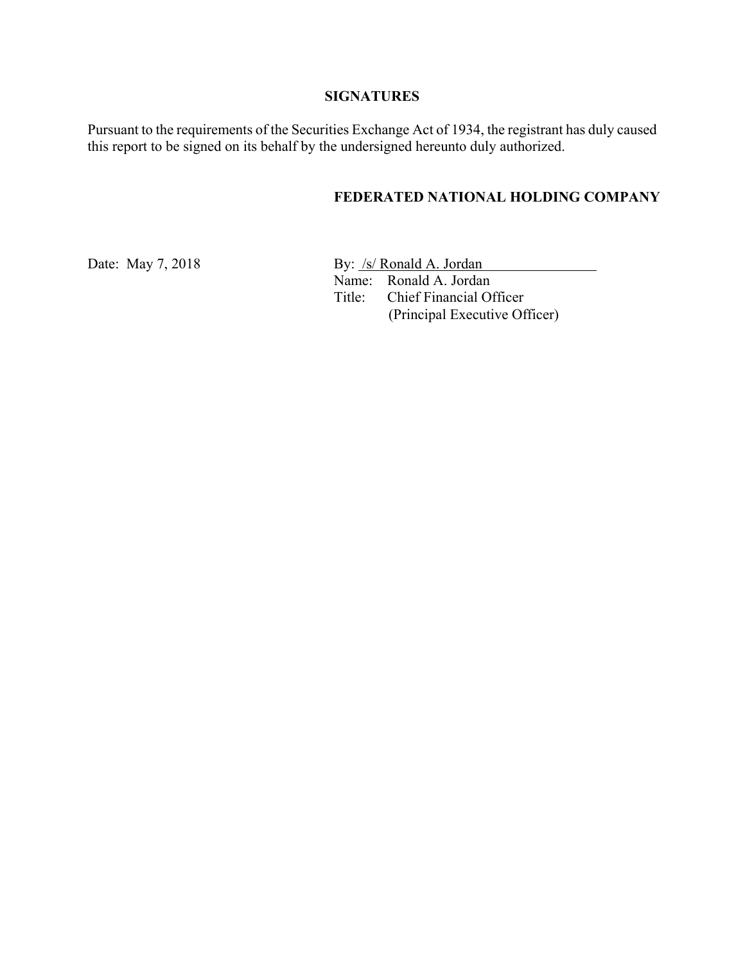# **SIGNATURES**

Pursuant to the requirements of the Securities Exchange Act of 1934, the registrant has duly caused this report to be signed on its behalf by the undersigned hereunto duly authorized.

# **FEDERATED NATIONAL HOLDING COMPANY**

Date: May 7, 2018 By: <u>/s/ Ronald A. Jordan</u> Name: Ronald A. Jordan Title: Chief Financial Officer (Principal Executive Officer)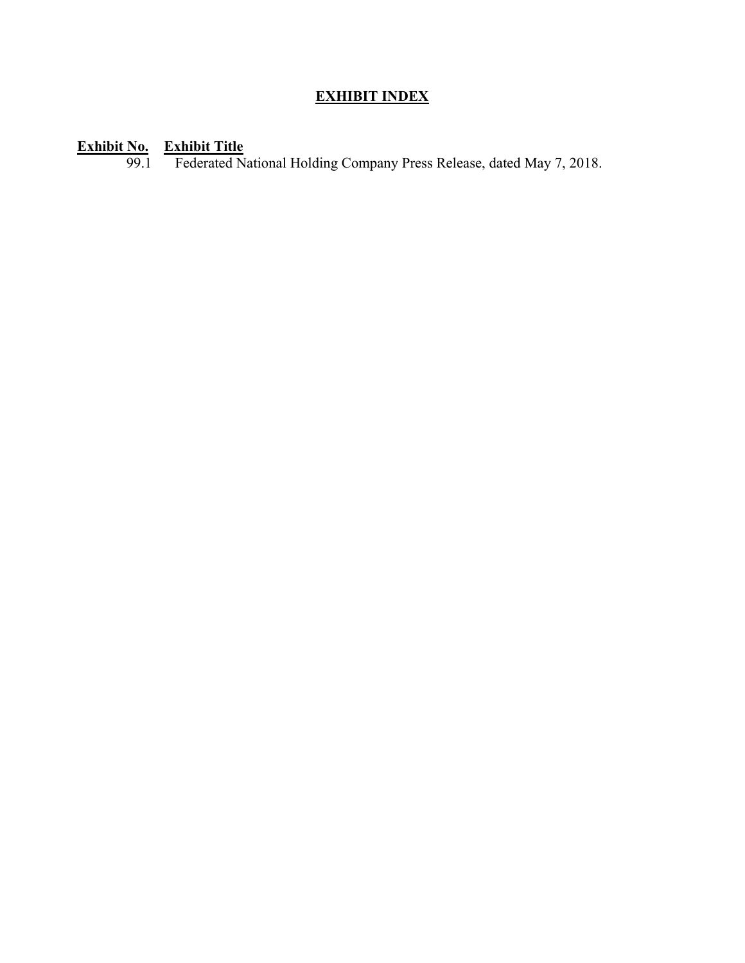# **EXHIBIT INDEX**

## **Exhibit No. Exhibit Title**

99.1 Federated National Holding Company Press Release, dated May 7, 2018.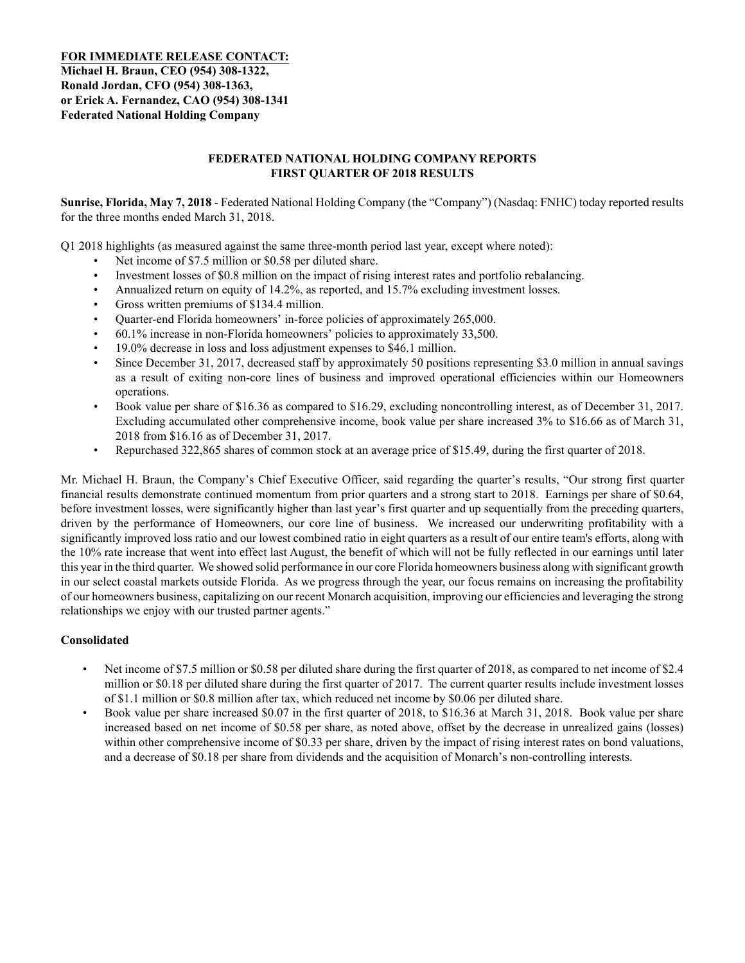**FOR IMMEDIATE RELEASE CONTACT: Michael H. Braun, CEO (954) 308-1322, Ronald Jordan, CFO (954) 308-1363, or Erick A. Fernandez, CAO (954) 308-1341 Federated National Holding Company**

### **FEDERATED NATIONAL HOLDING COMPANY REPORTS FIRST QUARTER OF 2018 RESULTS**

**Sunrise, Florida, May 7, 2018** - Federated National Holding Company (the "Company") (Nasdaq: FNHC) today reported results for the three months ended March 31, 2018.

Q1 2018 highlights (as measured against the same three-month period last year, except where noted):

- Net income of \$7.5 million or \$0.58 per diluted share.
- Investment losses of \$0.8 million on the impact of rising interest rates and portfolio rebalancing.
- Annualized return on equity of 14.2%, as reported, and 15.7% excluding investment losses.
- Gross written premiums of \$134.4 million.
- Quarter-end Florida homeowners' in-force policies of approximately 265,000.
- 60.1% increase in non-Florida homeowners' policies to approximately 33,500.
- 19.0% decrease in loss and loss adjustment expenses to \$46.1 million.
- Since December 31, 2017, decreased staff by approximately 50 positions representing \$3.0 million in annual savings as a result of exiting non-core lines of business and improved operational efficiencies within our Homeowners operations.
- Book value per share of \$16.36 as compared to \$16.29, excluding noncontrolling interest, as of December 31, 2017. Excluding accumulated other comprehensive income, book value per share increased 3% to \$16.66 as of March 31, 2018 from \$16.16 as of December 31, 2017.
- Repurchased 322,865 shares of common stock at an average price of \$15.49, during the first quarter of 2018.

Mr. Michael H. Braun, the Company's Chief Executive Officer, said regarding the quarter's results, "Our strong first quarter financial results demonstrate continued momentum from prior quarters and a strong start to 2018. Earnings per share of \$0.64, before investment losses, were significantly higher than last year's first quarter and up sequentially from the preceding quarters, driven by the performance of Homeowners, our core line of business. We increased our underwriting profitability with a significantly improved loss ratio and our lowest combined ratio in eight quarters as a result of our entire team's efforts, along with the 10% rate increase that went into effect last August, the benefit of which will not be fully reflected in our earnings until later this year in the third quarter. We showed solid performance in our core Florida homeowners business along with significant growth in our select coastal markets outside Florida. As we progress through the year, our focus remains on increasing the profitability of our homeowners business, capitalizing on our recent Monarch acquisition, improving our efficiencies and leveraging the strong relationships we enjoy with our trusted partner agents."

### **Consolidated**

- Net income of \$7.5 million or \$0.58 per diluted share during the first quarter of 2018, as compared to net income of \$2.4 million or \$0.18 per diluted share during the first quarter of 2017. The current quarter results include investment losses of \$1.1 million or \$0.8 million after tax, which reduced net income by \$0.06 per diluted share.
- Book value per share increased \$0.07 in the first quarter of 2018, to \$16.36 at March 31, 2018. Book value per share increased based on net income of \$0.58 per share, as noted above, offset by the decrease in unrealized gains (losses) within other comprehensive income of \$0.33 per share, driven by the impact of rising interest rates on bond valuations, and a decrease of \$0.18 per share from dividends and the acquisition of Monarch's non-controlling interests.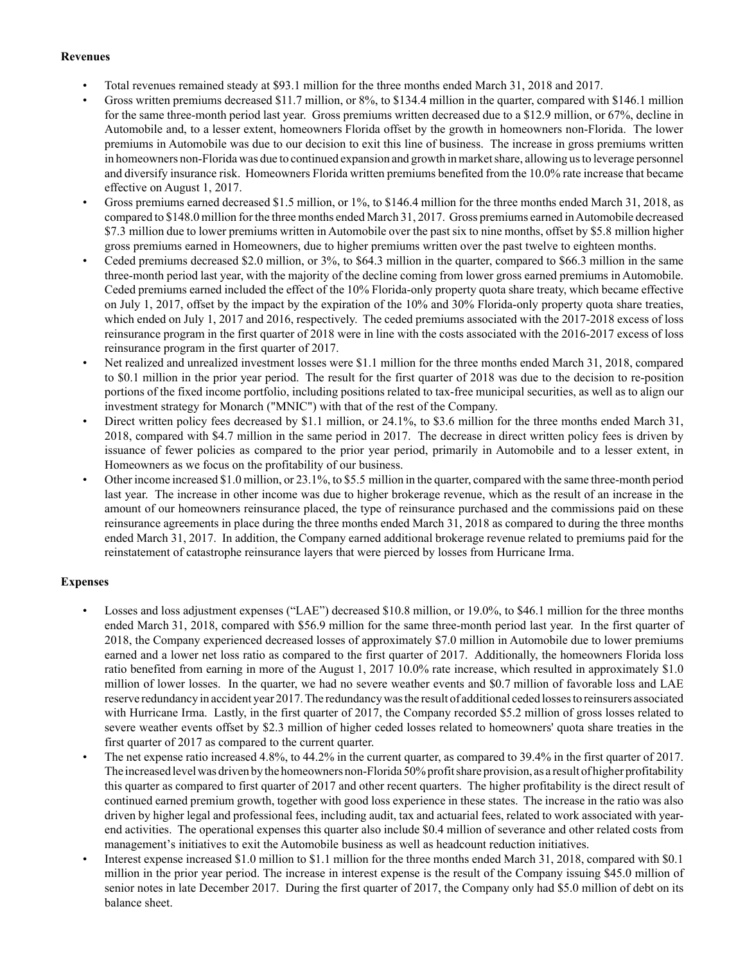#### **Revenues**

- Total revenues remained steady at \$93.1 million for the three months ended March 31, 2018 and 2017.
- Gross written premiums decreased \$11.7 million, or 8%, to \$134.4 million in the quarter, compared with \$146.1 million for the same three-month period last year. Gross premiums written decreased due to a \$12.9 million, or 67%, decline in Automobile and, to a lesser extent, homeowners Florida offset by the growth in homeowners non-Florida. The lower premiums in Automobile was due to our decision to exit this line of business. The increase in gross premiums written in homeowners non-Florida was due to continued expansion and growth in market share, allowing us to leverage personnel and diversify insurance risk. Homeowners Florida written premiums benefited from the 10.0% rate increase that became effective on August 1, 2017.
- Gross premiums earned decreased \$1.5 million, or 1%, to \$146.4 million for the three months ended March 31, 2018, as compared to \$148.0 million for the three months ended March 31, 2017. Gross premiums earned in Automobile decreased \$7.3 million due to lower premiums written in Automobile over the past six to nine months, offset by \$5.8 million higher gross premiums earned in Homeowners, due to higher premiums written over the past twelve to eighteen months.
- Ceded premiums decreased \$2.0 million, or 3%, to \$64.3 million in the quarter, compared to \$66.3 million in the same three-month period last year, with the majority of the decline coming from lower gross earned premiums in Automobile. Ceded premiums earned included the effect of the 10% Florida-only property quota share treaty, which became effective on July 1, 2017, offset by the impact by the expiration of the 10% and 30% Florida-only property quota share treaties, which ended on July 1, 2017 and 2016, respectively. The ceded premiums associated with the 2017-2018 excess of loss reinsurance program in the first quarter of 2018 were in line with the costs associated with the 2016-2017 excess of loss reinsurance program in the first quarter of 2017.
- Net realized and unrealized investment losses were \$1.1 million for the three months ended March 31, 2018, compared to \$0.1 million in the prior year period. The result for the first quarter of 2018 was due to the decision to re-position portions of the fixed income portfolio, including positions related to tax-free municipal securities, as well as to align our investment strategy for Monarch ("MNIC") with that of the rest of the Company.
- Direct written policy fees decreased by \$1.1 million, or 24.1%, to \$3.6 million for the three months ended March 31, 2018, compared with \$4.7 million in the same period in 2017. The decrease in direct written policy fees is driven by issuance of fewer policies as compared to the prior year period, primarily in Automobile and to a lesser extent, in Homeowners as we focus on the profitability of our business.
- Other income increased \$1.0 million, or 23.1%, to \$5.5 million in the quarter, compared with the same three-month period last year. The increase in other income was due to higher brokerage revenue, which as the result of an increase in the amount of our homeowners reinsurance placed, the type of reinsurance purchased and the commissions paid on these reinsurance agreements in place during the three months ended March 31, 2018 as compared to during the three months ended March 31, 2017. In addition, the Company earned additional brokerage revenue related to premiums paid for the reinstatement of catastrophe reinsurance layers that were pierced by losses from Hurricane Irma.

### **Expenses**

- Losses and loss adjustment expenses ("LAE") decreased \$10.8 million, or 19.0%, to \$46.1 million for the three months ended March 31, 2018, compared with \$56.9 million for the same three-month period last year. In the first quarter of 2018, the Company experienced decreased losses of approximately \$7.0 million in Automobile due to lower premiums earned and a lower net loss ratio as compared to the first quarter of 2017. Additionally, the homeowners Florida loss ratio benefited from earning in more of the August 1, 2017 10.0% rate increase, which resulted in approximately \$1.0 million of lower losses. In the quarter, we had no severe weather events and \$0.7 million of favorable loss and LAE reserve redundancy in accident year 2017. The redundancy was the result of additional ceded losses to reinsurers associated with Hurricane Irma. Lastly, in the first quarter of 2017, the Company recorded \$5.2 million of gross losses related to severe weather events offset by \$2.3 million of higher ceded losses related to homeowners' quota share treaties in the first quarter of 2017 as compared to the current quarter.
- The net expense ratio increased 4.8%, to 44.2% in the current quarter, as compared to 39.4% in the first quarter of 2017. The increased level was driven by the homeowners non-Florida 50% profit share provision, as a result of higher profitability this quarter as compared to first quarter of 2017 and other recent quarters. The higher profitability is the direct result of continued earned premium growth, together with good loss experience in these states. The increase in the ratio was also driven by higher legal and professional fees, including audit, tax and actuarial fees, related to work associated with yearend activities. The operational expenses this quarter also include \$0.4 million of severance and other related costs from management's initiatives to exit the Automobile business as well as headcount reduction initiatives.
- Interest expense increased \$1.0 million to \$1.1 million for the three months ended March 31, 2018, compared with \$0.1 million in the prior year period. The increase in interest expense is the result of the Company issuing \$45.0 million of senior notes in late December 2017. During the first quarter of 2017, the Company only had \$5.0 million of debt on its balance sheet.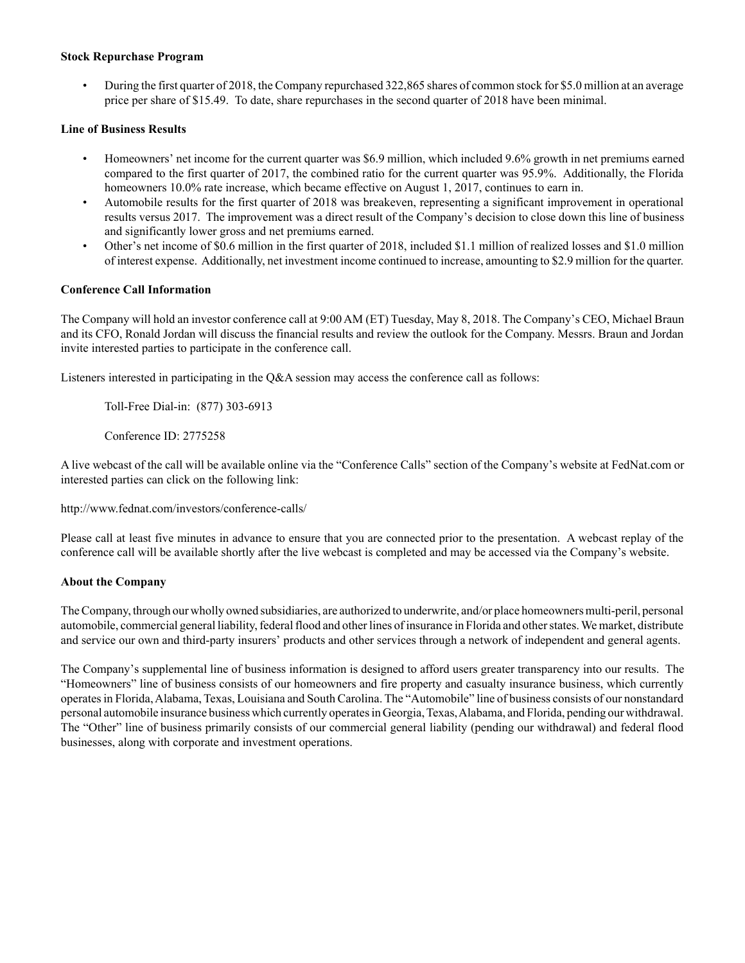#### **Stock Repurchase Program**

• During the first quarter of 2018, the Company repurchased 322,865 shares of common stock for \$5.0 million at an average price per share of \$15.49. To date, share repurchases in the second quarter of 2018 have been minimal.

#### **Line of Business Results**

- Homeowners' net income for the current quarter was \$6.9 million, which included 9.6% growth in net premiums earned compared to the first quarter of 2017, the combined ratio for the current quarter was 95.9%. Additionally, the Florida homeowners 10.0% rate increase, which became effective on August 1, 2017, continues to earn in.
- Automobile results for the first quarter of 2018 was breakeven, representing a significant improvement in operational results versus 2017. The improvement was a direct result of the Company's decision to close down this line of business and significantly lower gross and net premiums earned.
- Other's net income of \$0.6 million in the first quarter of 2018, included \$1.1 million of realized losses and \$1.0 million of interest expense. Additionally, net investment income continued to increase, amounting to \$2.9 million for the quarter.

#### **Conference Call Information**

The Company will hold an investor conference call at 9:00 AM (ET) Tuesday, May 8, 2018. The Company's CEO, Michael Braun and its CFO, Ronald Jordan will discuss the financial results and review the outlook for the Company. Messrs. Braun and Jordan invite interested parties to participate in the conference call.

Listeners interested in participating in the Q&A session may access the conference call as follows:

Toll-Free Dial-in: (877) 303-6913

Conference ID: 2775258

A live webcast of the call will be available online via the "Conference Calls" section of the Company's website at FedNat.com or interested parties can click on the following link:

http://www.fednat.com/investors/conference-calls/

Please call at least five minutes in advance to ensure that you are connected prior to the presentation. A webcast replay of the conference call will be available shortly after the live webcast is completed and may be accessed via the Company's website.

#### **About the Company**

The Company, through our wholly owned subsidiaries, are authorized to underwrite, and/or place homeowners multi-peril, personal automobile, commercial general liability, federal flood and other lines of insurance in Florida and other states. We market, distribute and service our own and third-party insurers' products and other services through a network of independent and general agents.

The Company's supplemental line of business information is designed to afford users greater transparency into our results. The "Homeowners" line of business consists of our homeowners and fire property and casualty insurance business, which currently operates in Florida, Alabama, Texas, Louisiana and South Carolina. The "Automobile" line of business consists of our nonstandard personal automobile insurance business which currently operates in Georgia, Texas, Alabama, and Florida, pending our withdrawal. The "Other" line of business primarily consists of our commercial general liability (pending our withdrawal) and federal flood businesses, along with corporate and investment operations.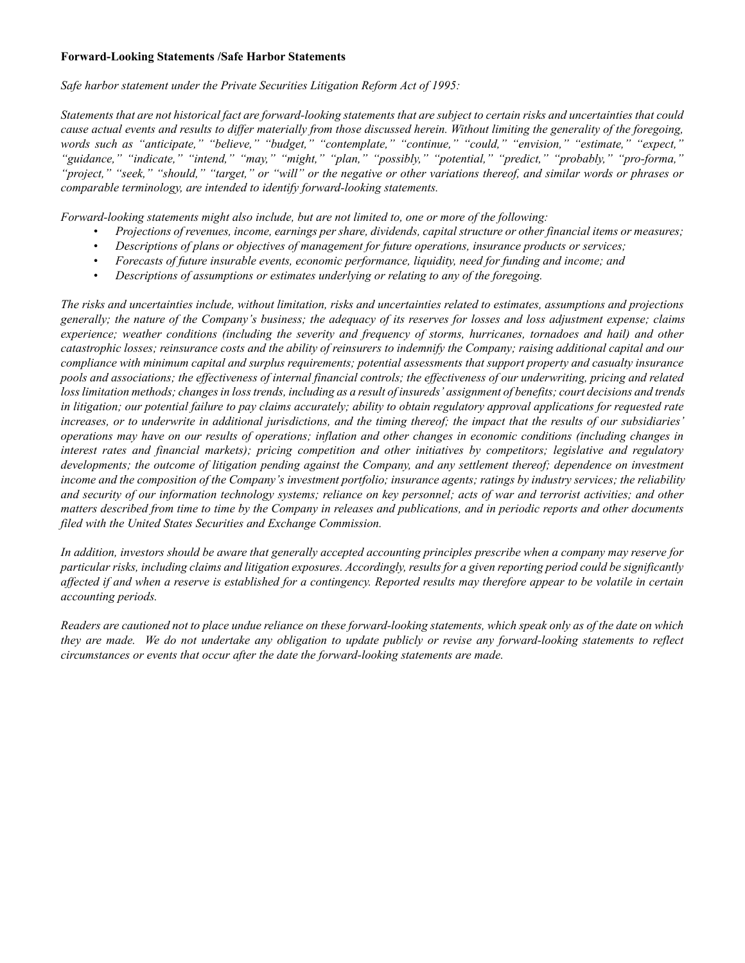#### **Forward-Looking Statements /Safe Harbor Statements**

*Safe harbor statement under the Private Securities Litigation Reform Act of 1995:*

*Statements that are not historical fact are forward-looking statements that are subject to certain risks and uncertainties that could cause actual events and results to differ materially from those discussed herein. Without limiting the generality of the foregoing, words such as "anticipate," "believe," "budget," "contemplate," "continue," "could," "envision," "estimate," "expect," "guidance," "indicate," "intend," "may," "might," "plan," "possibly," "potential," "predict," "probably," "pro-forma," "project," "seek," "should," "target," or "will" or the negative or other variations thereof, and similar words or phrases or comparable terminology, are intended to identify forward-looking statements.*

*Forward-looking statements might also include, but are not limited to, one or more of the following:*

- *Projections of revenues, income, earnings per share, dividends, capital structure or other financial items or measures;*
- *Descriptions of plans or objectives of management for future operations, insurance products or services;*
- *Forecasts of future insurable events, economic performance, liquidity, need for funding and income; and*
- *Descriptions of assumptions or estimates underlying or relating to any of the foregoing.*

*The risks and uncertainties include, without limitation, risks and uncertainties related to estimates, assumptions and projections generally; the nature of the Company's business; the adequacy of its reserves for losses and loss adjustment expense; claims experience; weather conditions (including the severity and frequency of storms, hurricanes, tornadoes and hail) and other catastrophic losses; reinsurance costs and the ability of reinsurers to indemnify the Company; raising additional capital and our compliance with minimum capital and surplus requirements; potential assessments that support property and casualty insurance pools and associations; the effectiveness of internal financial controls; the effectiveness of our underwriting, pricing and related loss limitation methods; changes in loss trends, including as a result of insureds' assignment of benefits; court decisions and trends in litigation; our potential failure to pay claims accurately; ability to obtain regulatory approval applications for requested rate increases, or to underwrite in additional jurisdictions, and the timing thereof; the impact that the results of our subsidiaries' operations may have on our results of operations; inflation and other changes in economic conditions (including changes in interest rates and financial markets); pricing competition and other initiatives by competitors; legislative and regulatory developments; the outcome of litigation pending against the Company, and any settlement thereof; dependence on investment income and the composition of the Company's investment portfolio; insurance agents; ratings by industry services; the reliability and security of our information technology systems; reliance on key personnel; acts of war and terrorist activities; and other matters described from time to time by the Company in releases and publications, and in periodic reports and other documents filed with the United States Securities and Exchange Commission.*

*In addition, investors should be aware that generally accepted accounting principles prescribe when a company may reserve for particular risks, including claims and litigation exposures. Accordingly, results for a given reporting period could be significantly affected if and when a reserve is established for a contingency. Reported results may therefore appear to be volatile in certain accounting periods.*

*Readers are cautioned not to place undue reliance on these forward-looking statements, which speak only as of the date on which they are made. We do not undertake any obligation to update publicly or revise any forward-looking statements to reflect circumstances or events that occur after the date the forward-looking statements are made.*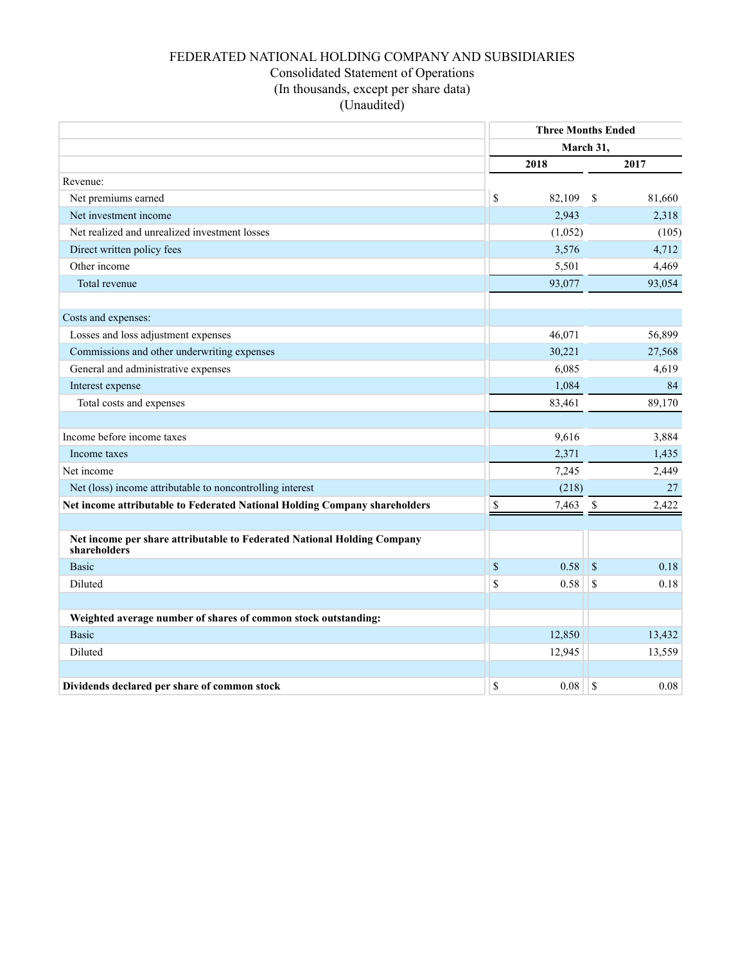## FEDERATED NATIONAL HOLDING COMPANY AND SUBSIDIARIES Consolidated Statement of Operations (In thousands, except per share data) (Unaudited)

|                                                                                         |             | <b>Three Months Ended</b> |                    |        |  |
|-----------------------------------------------------------------------------------------|-------------|---------------------------|--------------------|--------|--|
|                                                                                         |             | March 31,                 |                    |        |  |
|                                                                                         |             | 2018                      |                    | 2017   |  |
| Revenue:                                                                                |             |                           |                    |        |  |
| Net premiums earned                                                                     | \$          | 82,109                    | - \$               | 81,660 |  |
| Net investment income                                                                   |             | 2,943                     |                    | 2,318  |  |
| Net realized and unrealized investment losses                                           |             | (1,052)                   |                    | (105)  |  |
| Direct written policy fees                                                              |             | 3,576                     |                    | 4,712  |  |
| Other income                                                                            |             | 5,501                     |                    | 4,469  |  |
| Total revenue                                                                           |             | 93,077                    |                    | 93,054 |  |
|                                                                                         |             |                           |                    |        |  |
| Costs and expenses:                                                                     |             |                           |                    |        |  |
| Losses and loss adjustment expenses                                                     |             | 46,071                    |                    | 56,899 |  |
| Commissions and other underwriting expenses                                             |             | 30,221                    |                    | 27,568 |  |
| General and administrative expenses                                                     |             | 6,085                     |                    | 4,619  |  |
| Interest expense                                                                        |             | 1,084                     |                    | 84     |  |
| Total costs and expenses                                                                |             | 83,461                    |                    | 89,170 |  |
|                                                                                         |             |                           |                    |        |  |
| Income before income taxes                                                              |             | 9,616                     |                    | 3,884  |  |
| Income taxes                                                                            |             | 2,371                     |                    | 1,435  |  |
| Net income                                                                              |             | 7,245                     |                    | 2,449  |  |
| Net (loss) income attributable to noncontrolling interest                               |             | (218)                     |                    | 27     |  |
| Net income attributable to Federated National Holding Company shareholders              | $\mathbb S$ | 7,463                     | $\mathbf{\hat{s}}$ | 2,422  |  |
|                                                                                         |             |                           |                    |        |  |
| Net income per share attributable to Federated National Holding Company<br>shareholders |             |                           |                    |        |  |
| <b>Basic</b>                                                                            | \$          | 0.58                      | $\mathbf S$        | 0.18   |  |
| Diluted                                                                                 | \$          | 0.58                      | \$                 | 0.18   |  |
|                                                                                         |             |                           |                    |        |  |
| Weighted average number of shares of common stock outstanding:                          |             |                           |                    |        |  |
| <b>Basic</b>                                                                            |             | 12,850                    |                    | 13,432 |  |
| Diluted                                                                                 |             | 12,945                    |                    | 13,559 |  |
|                                                                                         |             |                           |                    |        |  |
| Dividends declared per share of common stock                                            | \$          | 0.08                      | \$                 | 0.08   |  |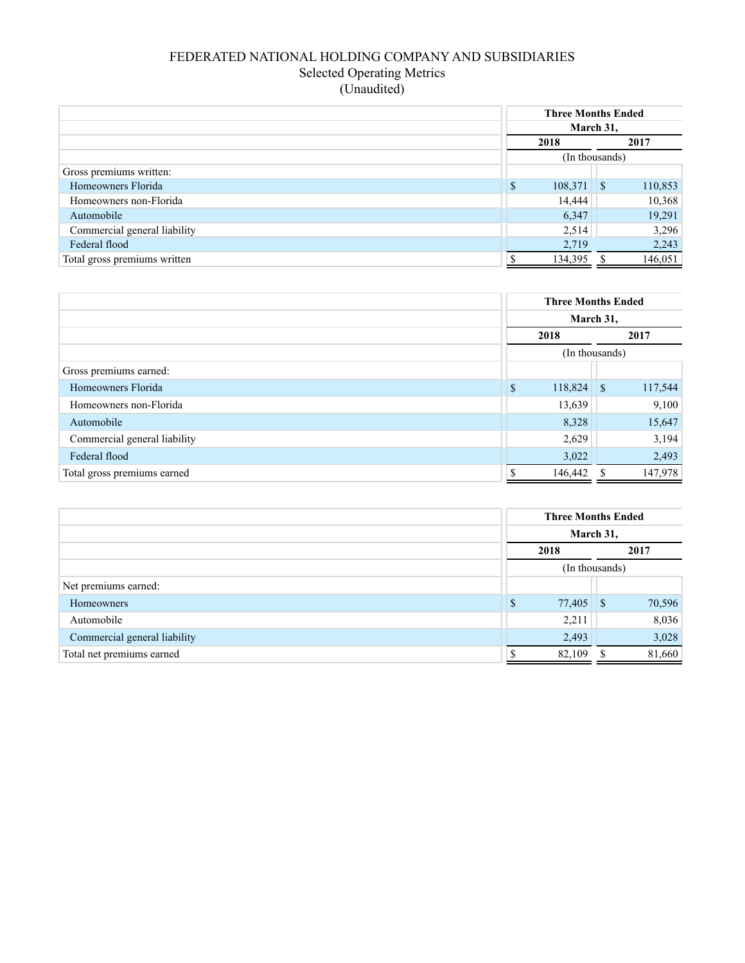## FEDERATED NATIONAL HOLDING COMPANY AND SUBSIDIARIES Selected Operating Metrics (Unaudited)

|                              |         | <b>Three Months Ended</b><br>March 31, |  |  |  |
|------------------------------|---------|----------------------------------------|--|--|--|
|                              | 2018    | 2017                                   |  |  |  |
|                              |         | (In thousands)                         |  |  |  |
| Gross premiums written:      |         |                                        |  |  |  |
| Homeowners Florida           | \$      | 110,853                                |  |  |  |
| Homeowners non-Florida       | 14,444  | 10,368                                 |  |  |  |
| Automobile                   | 6,347   | 19,291                                 |  |  |  |
| Commercial general liability | 2,514   | 3,296                                  |  |  |  |
| Federal flood                | 2,719   | 2,243                                  |  |  |  |
| Total gross premiums written | 134,395 | 146,051                                |  |  |  |

|                              |             | <b>Three Months Ended</b> |              |         |  |
|------------------------------|-------------|---------------------------|--------------|---------|--|
|                              | March 31,   |                           |              |         |  |
|                              | 2018        |                           |              | 2017    |  |
|                              |             | (In thousands)            |              |         |  |
| Gross premiums earned:       |             |                           |              |         |  |
| Homeowners Florida           | $\mathbf S$ | 118,824                   | $\mathbf{S}$ | 117,544 |  |
| Homeowners non-Florida       |             | 13,639                    |              | 9,100   |  |
| Automobile                   |             | 8,328                     |              | 15,647  |  |
| Commercial general liability |             | 2,629                     |              | 3,194   |  |
| Federal flood                |             | 3,022                     |              | 2,493   |  |
| Total gross premiums earned  |             | 146,442                   |              | 147,978 |  |

|                              | <b>Three Months Ended</b><br>March 31,<br>2017<br>2018 |        |  |        |
|------------------------------|--------------------------------------------------------|--------|--|--------|
|                              |                                                        |        |  |        |
|                              |                                                        |        |  |        |
|                              | (In thousands)                                         |        |  |        |
| Net premiums earned:         |                                                        |        |  |        |
| <b>Homeowners</b>            | <sup>\$</sup>                                          |        |  | 70,596 |
| Automobile                   |                                                        | 2,211  |  | 8,036  |
| Commercial general liability |                                                        | 2,493  |  | 3,028  |
| Total net premiums earned    |                                                        | 82,109 |  | 81,660 |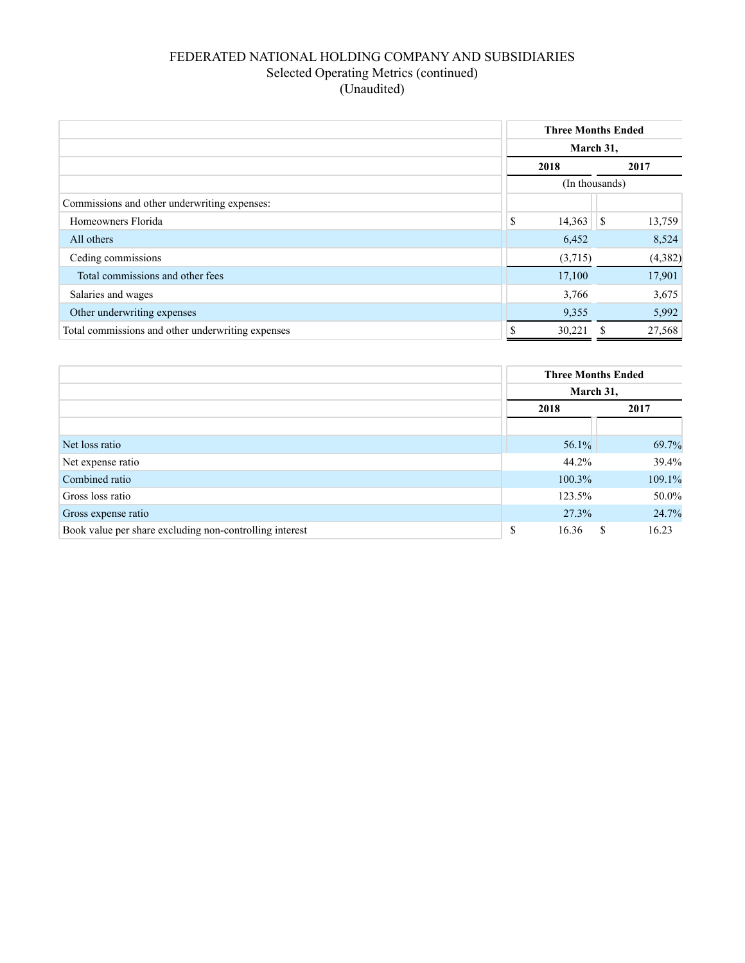## FEDERATED NATIONAL HOLDING COMPANY AND SUBSIDIARIES Selected Operating Metrics (continued) (Unaudited)

|                                                   |    | <b>Three Months Ended</b><br>March 31, |                        |  |
|---------------------------------------------------|----|----------------------------------------|------------------------|--|
|                                                   |    |                                        |                        |  |
|                                                   |    | 2018                                   | 2017                   |  |
|                                                   |    | (In thousands)                         |                        |  |
| Commissions and other underwriting expenses:      |    |                                        |                        |  |
| Homeowners Florida                                | \$ | 14,363                                 | 13,759<br>$\mathsf{S}$ |  |
| All others                                        |    | 6,452                                  | 8,524                  |  |
| Ceding commissions                                |    | (3,715)                                | (4, 382)               |  |
| Total commissions and other fees                  |    | 17,100                                 | 17,901                 |  |
| Salaries and wages                                |    | 3,766                                  | 3,675                  |  |
| Other underwriting expenses                       |    | 9,355                                  | 5,992                  |  |
| Total commissions and other underwriting expenses | \$ | 30,221                                 | 27,568                 |  |

|                                                         |             | <b>Three Months Ended</b> |  |  |
|---------------------------------------------------------|-------------|---------------------------|--|--|
|                                                         | March 31,   |                           |  |  |
|                                                         | 2018        | 2017                      |  |  |
|                                                         |             |                           |  |  |
| Net loss ratio                                          | $56.1\%$    | 69.7%                     |  |  |
| Net expense ratio                                       | 44.2%       | 39.4%                     |  |  |
| Combined ratio                                          | $100.3\%$   | 109.1%                    |  |  |
| Gross loss ratio                                        | 123.5%      | 50.0%                     |  |  |
| Gross expense ratio                                     | 27.3%       | 24.7%                     |  |  |
| Book value per share excluding non-controlling interest | \$<br>16.36 | 16.23<br>\$.              |  |  |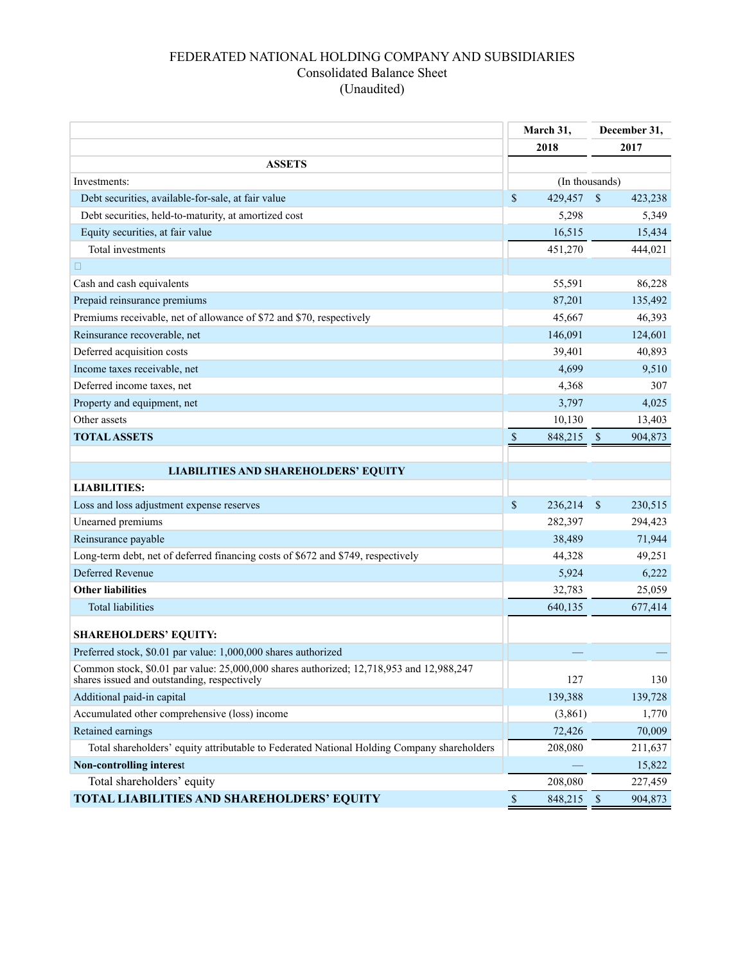## FEDERATED NATIONAL HOLDING COMPANY AND SUBSIDIARIES Consolidated Balance Sheet (Unaudited)

|                                                                                                                                        |               | March 31,      |              | December 31, |
|----------------------------------------------------------------------------------------------------------------------------------------|---------------|----------------|--------------|--------------|
|                                                                                                                                        | 2018          |                | 2017         |              |
| <b>ASSETS</b>                                                                                                                          |               |                |              |              |
| Investments:                                                                                                                           |               | (In thousands) |              |              |
| Debt securities, available-for-sale, at fair value                                                                                     | \$            | 429,457        | \$           | 423,238      |
| Debt securities, held-to-maturity, at amortized cost                                                                                   |               | 5,298          |              | 5,349        |
| Equity securities, at fair value                                                                                                       |               | 16,515         |              | 15,434       |
| Total investments                                                                                                                      |               | 451,270        |              | 444,021      |
| $\Box$                                                                                                                                 |               |                |              |              |
| Cash and cash equivalents                                                                                                              |               | 55,591         |              | 86,228       |
| Prepaid reinsurance premiums                                                                                                           |               | 87,201         |              | 135,492      |
| Premiums receivable, net of allowance of \$72 and \$70, respectively                                                                   |               | 45,667         |              | 46,393       |
| Reinsurance recoverable, net                                                                                                           |               | 146,091        |              | 124,601      |
| Deferred acquisition costs                                                                                                             |               | 39,401         |              | 40,893       |
| Income taxes receivable, net                                                                                                           |               | 4,699          |              | 9,510        |
| Deferred income taxes, net                                                                                                             |               | 4,368          |              | 307          |
| Property and equipment, net                                                                                                            |               | 3,797          |              | 4,025        |
| Other assets                                                                                                                           |               | 10,130         |              | 13,403       |
| <b>TOTAL ASSETS</b>                                                                                                                    | $\mathcal{S}$ | 848,215        | $\sqrt{3}$   | 904,873      |
|                                                                                                                                        |               |                |              |              |
| <b>LIABILITIES AND SHAREHOLDERS' EQUITY</b>                                                                                            |               |                |              |              |
| <b>LIABILITIES:</b>                                                                                                                    |               |                |              |              |
| Loss and loss adjustment expense reserves                                                                                              | \$            | 236,214        | \$           | 230,515      |
| Unearned premiums                                                                                                                      |               | 282,397        |              | 294,423      |
| Reinsurance payable                                                                                                                    |               | 38,489         |              | 71,944       |
| Long-term debt, net of deferred financing costs of \$672 and \$749, respectively                                                       |               | 44,328         |              | 49,251       |
| <b>Deferred Revenue</b>                                                                                                                |               | 5,924          |              | 6,222        |
| <b>Other liabilities</b>                                                                                                               |               | 32,783         |              | 25,059       |
| <b>Total liabilities</b>                                                                                                               |               | 640,135        |              | 677,414      |
|                                                                                                                                        |               |                |              |              |
| <b>SHAREHOLDERS' EQUITY:</b>                                                                                                           |               |                |              |              |
| Preferred stock, \$0.01 par value: 1,000,000 shares authorized                                                                         |               |                |              |              |
| Common stock, \$0.01 par value: 25,000,000 shares authorized; 12,718,953 and 12,988,247<br>shares issued and outstanding, respectively |               | 127            |              | 130          |
| Additional paid-in capital                                                                                                             |               | 139,388        |              | 139,728      |
| Accumulated other comprehensive (loss) income                                                                                          |               | (3,861)        |              | 1,770        |
| Retained earnings                                                                                                                      |               | 72,426         |              | 70,009       |
| Total shareholders' equity attributable to Federated National Holding Company shareholders                                             |               | 208,080        |              | 211,637      |
| <b>Non-controlling interest</b>                                                                                                        |               |                |              | 15,822       |
| Total shareholders' equity                                                                                                             |               | 208,080        |              | 227,459      |
| TOTAL LIABILITIES AND SHAREHOLDERS' EQUITY                                                                                             | $\mathbb S$   | 848,215        | $\mathbb{S}$ | 904,873      |